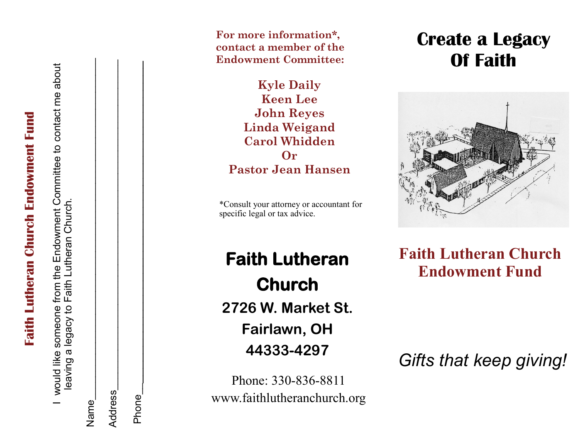**Faith Lutheran Church Endowment Fund Faith Lutheran Church Endowment Fund** 

I would like someone from the Endowment Committee to contact me about Endowment Committee to contact me about Lutheran Church. leaving a legacy to Faith Lutheran Church. e<br>ft leaving a legacy to Faith would like someone from

| ame<br>2            |  |
|---------------------|--|
| l<br><b>Address</b> |  |

 $Phone$ Phone

**For more information\*, contact a member of the Endowment Committee:**

**Kyle Daily Keen Lee John Reyes Linda Weigand Carol Whidden Or Pastor Jean Hansen**

\*Consult your attorney or accountant for specific legal or tax advice.

**Faith Lutheran Church 2726 W. Market St. Fairlawn, OH 44333 -4297**

Phone: 330-836-8811 www.faithlutheranchurch.org

# **Create a Legacy Of Faith**



**Faith Lutheran Church Endowment Fund**

*Gifts that keep giving!*